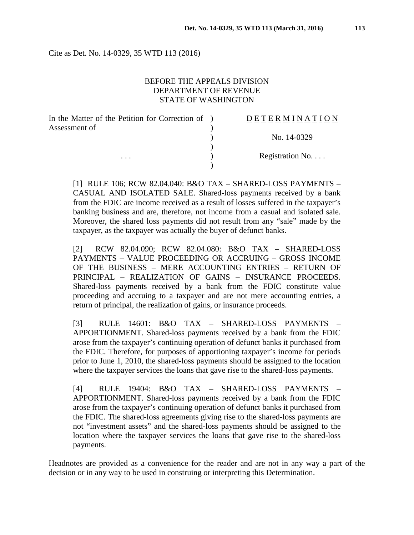Cite as Det. No. 14-0329, 35 WTD 113 (2016)

#### BEFORE THE APPEALS DIVISION DEPARTMENT OF REVENUE STATE OF WASHINGTON

| In the Matter of the Petition for Correction of ) | <b>DETERMINATION</b> |
|---------------------------------------------------|----------------------|
| Assessment of                                     |                      |
|                                                   | No. 14-0329          |
|                                                   |                      |
| $\cdots$                                          | Registration No      |
|                                                   |                      |

[1] RULE 106; RCW 82.04.040: B&O TAX – SHARED-LOSS PAYMENTS – CASUAL AND ISOLATED SALE. Shared-loss payments received by a bank from the FDIC are income received as a result of losses suffered in the taxpayer's banking business and are, therefore, not income from a casual and isolated sale. Moreover, the shared loss payments did not result from any "sale" made by the taxpayer, as the taxpayer was actually the buyer of defunct banks.

[2] RCW 82.04.090; RCW 82.04.080: B&O TAX – SHARED-LOSS PAYMENTS – VALUE PROCEEDING OR ACCRUING – GROSS INCOME OF THE BUSINESS – MERE ACCOUNTING ENTRIES – RETURN OF PRINCIPAL – REALIZATION OF GAINS – INSURANCE PROCEEDS. Shared-loss payments received by a bank from the FDIC constitute value proceeding and accruing to a taxpayer and are not mere accounting entries, a return of principal, the realization of gains, or insurance proceeds.

[3] RULE 14601: B&O TAX – SHARED-LOSS PAYMENTS – APPORTIONMENT. Shared-loss payments received by a bank from the FDIC arose from the taxpayer's continuing operation of defunct banks it purchased from the FDIC. Therefore, for purposes of apportioning taxpayer's income for periods prior to June 1, 2010, the shared-loss payments should be assigned to the location where the taxpayer services the loans that gave rise to the shared-loss payments.

[4] RULE 19404: B&O TAX – SHARED-LOSS PAYMENTS – APPORTIONMENT. Shared-loss payments received by a bank from the FDIC arose from the taxpayer's continuing operation of defunct banks it purchased from the FDIC. The shared-loss agreements giving rise to the shared-loss payments are not "investment assets" and the shared-loss payments should be assigned to the location where the taxpayer services the loans that gave rise to the shared-loss payments.

Headnotes are provided as a convenience for the reader and are not in any way a part of the decision or in any way to be used in construing or interpreting this Determination.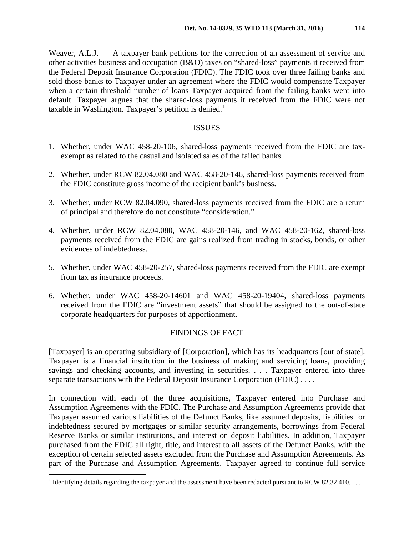Weaver, A.L.J. – A taxpayer bank petitions for the correction of an assessment of service and other activities business and occupation (B&O) taxes on "shared-loss" payments it received from the Federal Deposit Insurance Corporation (FDIC). The FDIC took over three failing banks and sold those banks to Taxpayer under an agreement where the FDIC would compensate Taxpayer when a certain threshold number of loans Taxpayer acquired from the failing banks went into default. Taxpayer argues that the shared-loss payments it received from the FDIC were not taxable in Washington. Taxpayer's petition is denied.<sup>[1](#page-1-0)</sup>

## ISSUES

- 1. Whether, under WAC 458-20-106, shared-loss payments received from the FDIC are taxexempt as related to the casual and isolated sales of the failed banks.
- 2. Whether, under RCW 82.04.080 and WAC 458-20-146, shared-loss payments received from the FDIC constitute gross income of the recipient bank's business.
- 3. Whether, under RCW 82.04.090, shared-loss payments received from the FDIC are a return of principal and therefore do not constitute "consideration."
- 4. Whether, under RCW 82.04.080, WAC 458-20-146, and WAC 458-20-162, shared-loss payments received from the FDIC are gains realized from trading in stocks, bonds, or other evidences of indebtedness.
- 5. Whether, under WAC 458-20-257, shared-loss payments received from the FDIC are exempt from tax as insurance proceeds.
- 6. Whether, under WAC 458-20-14601 and WAC 458-20-19404, shared-loss payments received from the FDIC are "investment assets" that should be assigned to the out-of-state corporate headquarters for purposes of apportionment.

## FINDINGS OF FACT

[Taxpayer] is an operating subsidiary of [Corporation], which has its headquarters [out of state]. Taxpayer is a financial institution in the business of making and servicing loans, providing savings and checking accounts, and investing in securities. . . . Taxpayer entered into three separate transactions with the Federal Deposit Insurance Corporation (FDIC) . . . .

In connection with each of the three acquisitions, Taxpayer entered into Purchase and Assumption Agreements with the FDIC. The Purchase and Assumption Agreements provide that Taxpayer assumed various liabilities of the Defunct Banks, like assumed deposits, liabilities for indebtedness secured by mortgages or similar security arrangements, borrowings from Federal Reserve Banks or similar institutions, and interest on deposit liabilities. In addition, Taxpayer purchased from the FDIC all right, title, and interest to all assets of the Defunct Banks, with the exception of certain selected assets excluded from the Purchase and Assumption Agreements. As part of the Purchase and Assumption Agreements, Taxpayer agreed to continue full service

<span id="page-1-0"></span><sup>&</sup>lt;sup>1</sup> Identifying details regarding the taxpayer and the assessment have been redacted pursuant to RCW 82.32.410...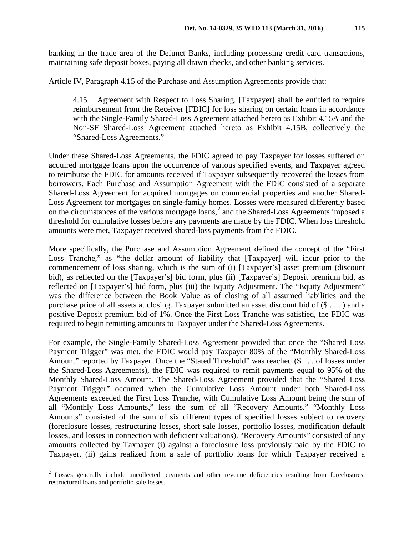banking in the trade area of the Defunct Banks, including processing credit card transactions, maintaining safe deposit boxes, paying all drawn checks, and other banking services.

Article IV, Paragraph 4.15 of the Purchase and Assumption Agreements provide that:

4.15 Agreement with Respect to Loss Sharing. [Taxpayer] shall be entitled to require reimbursement from the Receiver [FDIC] for loss sharing on certain loans in accordance with the Single-Family Shared-Loss Agreement attached hereto as Exhibit 4.15A and the Non-SF Shared-Loss Agreement attached hereto as Exhibit 4.15B, collectively the "Shared-Loss Agreements."

Under these Shared-Loss Agreements, the FDIC agreed to pay Taxpayer for losses suffered on acquired mortgage loans upon the occurrence of various specified events, and Taxpayer agreed to reimburse the FDIC for amounts received if Taxpayer subsequently recovered the losses from borrowers. Each Purchase and Assumption Agreement with the FDIC consisted of a separate Shared-Loss Agreement for acquired mortgages on commercial properties and another Shared-Loss Agreement for mortgages on single-family homes. Losses were measured differently based on the circumstances of the various mortgage loans,<sup>[2](#page-2-0)</sup> and the Shared-Loss Agreements imposed a threshold for cumulative losses before any payments are made by the FDIC. When loss threshold amounts were met, Taxpayer received shared-loss payments from the FDIC.

More specifically, the Purchase and Assumption Agreement defined the concept of the "First Loss Tranche," as "the dollar amount of liability that [Taxpayer] will incur prior to the commencement of loss sharing, which is the sum of (i) [Taxpayer's] asset premium (discount bid), as reflected on the [Taxpayer's] bid form, plus (ii) [Taxpayer's] Deposit premium bid, as reflected on [Taxpayer's] bid form, plus (iii) the Equity Adjustment. The "Equity Adjustment" was the difference between the Book Value as of closing of all assumed liabilities and the purchase price of all assets at closing. Taxpayer submitted an asset discount bid of (\$ . . . ) and a positive Deposit premium bid of 1%. Once the First Loss Tranche was satisfied, the FDIC was required to begin remitting amounts to Taxpayer under the Shared-Loss Agreements.

For example, the Single-Family Shared-Loss Agreement provided that once the "Shared Loss Payment Trigger" was met, the FDIC would pay Taxpayer 80% of the "Monthly Shared-Loss Amount" reported by Taxpayer. Once the "Stated Threshold" was reached (\$ . . . of losses under the Shared-Loss Agreements), the FDIC was required to remit payments equal to 95% of the Monthly Shared-Loss Amount. The Shared-Loss Agreement provided that the "Shared Loss Payment Trigger" occurred when the Cumulative Loss Amount under both Shared-Loss Agreements exceeded the First Loss Tranche, with Cumulative Loss Amount being the sum of all "Monthly Loss Amounts," less the sum of all "Recovery Amounts." "Monthly Loss Amounts" consisted of the sum of six different types of specified losses subject to recovery (foreclosure losses, restructuring losses, short sale losses, portfolio losses, modification default losses, and losses in connection with deficient valuations). "Recovery Amounts" consisted of any amounts collected by Taxpayer (i) against a foreclosure loss previously paid by the FDIC to Taxpayer, (ii) gains realized from a sale of portfolio loans for which Taxpayer received a

<span id="page-2-0"></span><sup>&</sup>lt;sup>2</sup> Losses generally include uncollected payments and other revenue deficiencies resulting from foreclosures, restructured loans and portfolio sale losses.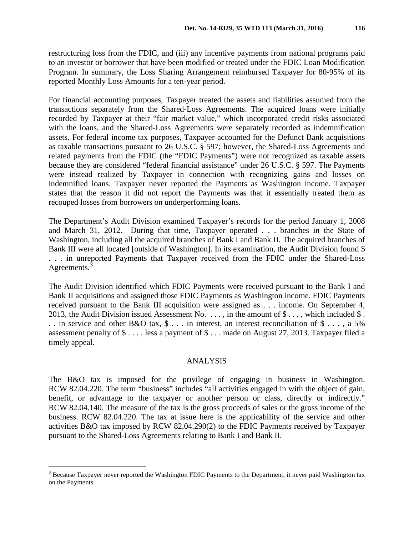restructuring loss from the FDIC, and (iii) any incentive payments from national programs paid to an investor or borrower that have been modified or treated under the FDIC Loan Modification Program. In summary, the Loss Sharing Arrangement reimbursed Taxpayer for 80-95% of its reported Monthly Loss Amounts for a ten-year period.

For financial accounting purposes, Taxpayer treated the assets and liabilities assumed from the transactions separately from the Shared-Loss Agreements. The acquired loans were initially recorded by Taxpayer at their "fair market value," which incorporated credit risks associated with the loans, and the Shared-Loss Agreements were separately recorded as indemnification assets. For federal income tax purposes, Taxpayer accounted for the Defunct Bank acquisitions as taxable transactions pursuant to 26 U.S.C. § 597; however, the Shared-Loss Agreements and related payments from the FDIC (the "FDIC Payments") were not recognized as taxable assets because they are considered "federal financial assistance" under 26 U.S.C. § 597. The Payments were instead realized by Taxpayer in connection with recognizing gains and losses on indemnified loans. Taxpayer never reported the Payments as Washington income. Taxpayer states that the reason it did not report the Payments was that it essentially treated them as recouped losses from borrowers on underperforming loans.

The Department's Audit Division examined Taxpayer's records for the period January 1, 2008 and March 31, 2012. During that time, Taxpayer operated . . . branches in the State of Washington, including all the acquired branches of Bank I and Bank II. The acquired branches of Bank III were all located [outside of Washington]. In its examination, the Audit Division found \$ . . . in unreported Payments that Taxpayer received from the FDIC under the Shared-Loss Agreements.<sup>[3](#page-3-0)</sup>

The Audit Division identified which FDIC Payments were received pursuant to the Bank I and Bank II acquisitions and assigned those FDIC Payments as Washington income. FDIC Payments received pursuant to the Bank III acquisition were assigned as . . . income. On September 4, 2013, the Audit Division issued Assessment No.  $\dots$ , in the amount of  $\$\dots$ , which included  $\$\dots$ . . in service and other B&O tax, \$ . . . in interest, an interest reconciliation of \$ . . . , a 5% assessment penalty of \$ . . . , less a payment of \$ . . . made on August 27, 2013. Taxpayer filed a timely appeal.

## ANALYSIS

The B&O tax is imposed for the privilege of engaging in business in Washington. RCW 82.04.220. The term "business" includes "all activities engaged in with the object of gain, benefit, or advantage to the taxpayer or another person or class, directly or indirectly." RCW 82.04.140. The measure of the tax is the gross proceeds of sales or the gross income of the business. RCW 82.04.220. The tax at issue here is the applicability of the service and other activities B&O tax imposed by RCW 82.04.290(2) to the FDIC Payments received by Taxpayer pursuant to the Shared-Loss Agreements relating to Bank I and Bank II.

<span id="page-3-0"></span><sup>&</sup>lt;sup>3</sup> Because Taxpayer never reported the Washington FDIC Payments to the Department, it never paid Washington tax on the Payments.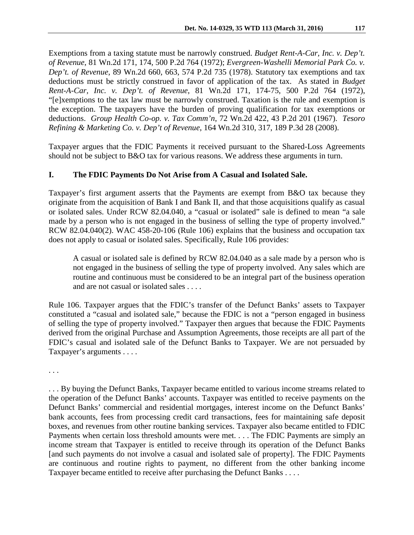Exemptions from a taxing statute must be narrowly construed. *Budget Rent-A-Car, Inc. v. Dep't. of Revenue*, 81 Wn.2d 171, 174, 500 P.2d 764 (1972); *Evergreen-Washelli Memorial Park Co. v. Dep't. of Revenue*, 89 Wn.2d 660, 663, 574 P.2d 735 (1978). Statutory tax exemptions and tax deductions must be strictly construed in favor of application of the tax. As stated in *Budget Rent-A-Car, Inc. v. Dep't. of Revenue*, 81 Wn.2d 171, 174-75, 500 P.2d 764 (1972), "[e]xemptions to the tax law must be narrowly construed. Taxation is the rule and exemption is the exception. The taxpayers have the burden of proving qualification for tax exemptions or deductions. *Group Health Co-op. v. Tax Comm'n*, 72 Wn.2d 422, 43 P.2d 201 (1967). *Tesoro Refining & Marketing Co. v. Dep't of Revenue*, 164 Wn.2d 310, 317, 189 P.3d 28 (2008).

Taxpayer argues that the FDIC Payments it received pursuant to the Shared-Loss Agreements should not be subject to B&O tax for various reasons. We address these arguments in turn.

## **I. The FDIC Payments Do Not Arise from A Casual and Isolated Sale.**

Taxpayer's first argument asserts that the Payments are exempt from B&O tax because they originate from the acquisition of Bank I and Bank II, and that those acquisitions qualify as casual or isolated sales. Under RCW 82.04.040, a "casual or isolated" sale is defined to mean "a sale made by a person who is not engaged in the business of selling the type of property involved." RCW 82.04.040(2). WAC 458-20-106 (Rule 106) explains that the business and occupation tax does not apply to casual or isolated sales. Specifically, Rule 106 provides:

A casual or isolated sale is defined by RCW 82.04.040 as a sale made by a person who is not engaged in the business of selling the type of property involved. Any sales which are routine and continuous must be considered to be an integral part of the business operation and are not casual or isolated sales . . . .

Rule 106. Taxpayer argues that the FDIC's transfer of the Defunct Banks' assets to Taxpayer constituted a "casual and isolated sale," because the FDIC is not a "person engaged in business of selling the type of property involved." Taxpayer then argues that because the FDIC Payments derived from the original Purchase and Assumption Agreements, those receipts are all part of the FDIC's casual and isolated sale of the Defunct Banks to Taxpayer. We are not persuaded by Taxpayer's arguments . . . .

. . .

. . . By buying the Defunct Banks, Taxpayer became entitled to various income streams related to the operation of the Defunct Banks' accounts. Taxpayer was entitled to receive payments on the Defunct Banks' commercial and residential mortgages, interest income on the Defunct Banks' bank accounts, fees from processing credit card transactions, fees for maintaining safe deposit boxes, and revenues from other routine banking services. Taxpayer also became entitled to FDIC Payments when certain loss threshold amounts were met. . . . The FDIC Payments are simply an income stream that Taxpayer is entitled to receive through its operation of the Defunct Banks [and such payments do not involve a casual and isolated sale of property]. The FDIC Payments are continuous and routine rights to payment, no different from the other banking income Taxpayer became entitled to receive after purchasing the Defunct Banks . . . .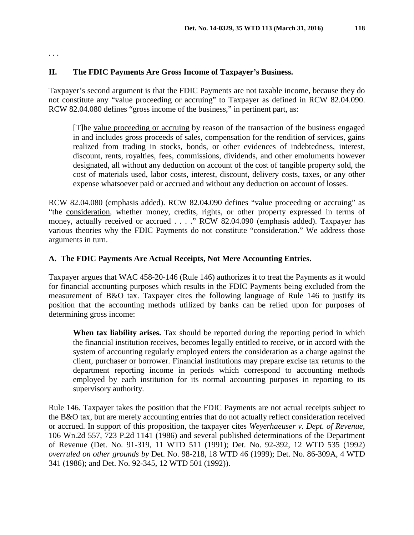. . .

## **II. The FDIC Payments Are Gross Income of Taxpayer's Business.**

Taxpayer's second argument is that the FDIC Payments are not taxable income, because they do not constitute any "value proceeding or accruing" to Taxpayer as defined in RCW 82.04.090. RCW 82.04.080 defines "gross income of the business," in pertinent part, as:

[T]he value proceeding or accruing by reason of the transaction of the business engaged in and includes gross proceeds of sales, compensation for the rendition of services, gains realized from trading in stocks, bonds, or other evidences of indebtedness, interest, discount, rents, royalties, fees, commissions, dividends, and other emoluments however designated, all without any deduction on account of the cost of tangible property sold, the cost of materials used, labor costs, interest, discount, delivery costs, taxes, or any other expense whatsoever paid or accrued and without any deduction on account of losses.

RCW 82.04.080 (emphasis added). RCW 82.04.090 defines "value proceeding or accruing" as "the consideration, whether money, credits, rights, or other property expressed in terms of money, actually received or accrued . . . ." RCW 82.04.090 (emphasis added). Taxpayer has various theories why the FDIC Payments do not constitute "consideration." We address those arguments in turn.

## **A. The FDIC Payments Are Actual Receipts, Not Mere Accounting Entries.**

Taxpayer argues that WAC 458-20-146 (Rule 146) authorizes it to treat the Payments as it would for financial accounting purposes which results in the FDIC Payments being excluded from the measurement of B&O tax. Taxpayer cites the following language of Rule 146 to justify its position that the accounting methods utilized by banks can be relied upon for purposes of determining gross income:

**When tax liability arises.** Tax should be reported during the reporting period in which the financial institution receives, becomes legally entitled to receive, or in accord with the system of accounting regularly employed enters the consideration as a charge against the client, purchaser or borrower. Financial institutions may prepare excise tax returns to the department reporting income in periods which correspond to accounting methods employed by each institution for its normal accounting purposes in reporting to its supervisory authority.

Rule 146. Taxpayer takes the position that the FDIC Payments are not actual receipts subject to the B&O tax, but are merely accounting entries that do not actually reflect consideration received or accrued. In support of this proposition, the taxpayer cites *Weyerhaeuser v. Dept. of Revenue*, 106 Wn.2d 557, 723 P.2d 1141 (1986) and several published determinations of the Department of Revenue (Det. No. 91-319, 11 WTD 511 (1991); Det. No. 92-392, 12 WTD 535 (1992) *overruled on other grounds by* Det. No. 98-218, 18 WTD 46 (1999); Det. No. 86-309A, 4 WTD 341 (1986); and Det. No. 92-345, 12 WTD 501 (1992)).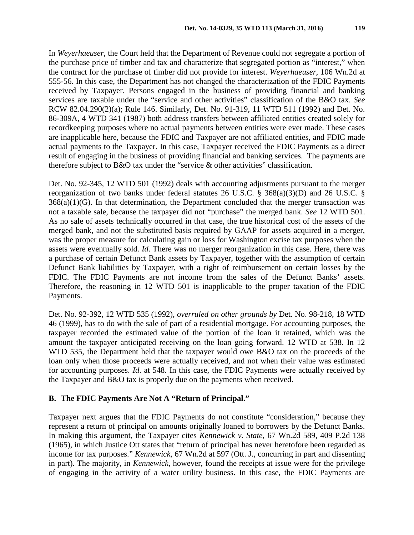In *Weyerhaeuser*, the Court held that the Department of Revenue could not segregate a portion of the purchase price of timber and tax and characterize that segregated portion as "interest," when the contract for the purchase of timber did not provide for interest. *Weyerhaeuser*, 106 Wn.2d at 555-56. In this case, the Department has not changed the characterization of the FDIC Payments received by Taxpayer. Persons engaged in the business of providing financial and banking services are taxable under the "service and other activities" classification of the B&O tax. *See* RCW 82.04.290(2)(a); Rule 146. Similarly, Det. No. 91-319, 11 WTD 511 (1992) and Det. No. 86-309A, 4 WTD 341 (1987) both address transfers between affiliated entities created solely for recordkeeping purposes where no actual payments between entities were ever made. These cases are inapplicable here, because the FDIC and Taxpayer are not affiliated entities, and FDIC made actual payments to the Taxpayer. In this case, Taxpayer received the FDIC Payments as a direct result of engaging in the business of providing financial and banking services. The payments are therefore subject to B&O tax under the "service & other activities" classification.

Det. No. 92-345, 12 WTD 501 (1992) deals with accounting adjustments pursuant to the merger reorganization of two banks under federal statutes 26 U.S.C. § 368(a)(3)(D) and 26 U.S.C. §  $368(a)(1)(G)$ . In that determination, the Department concluded that the merger transaction was not a taxable sale, because the taxpayer did not "purchase" the merged bank. *See* 12 WTD 501. As no sale of assets technically occurred in that case, the true historical cost of the assets of the merged bank, and not the substituted basis required by GAAP for assets acquired in a merger, was the proper measure for calculating gain or loss for Washington excise tax purposes when the assets were eventually sold. *Id*. There was no merger reorganization in this case. Here, there was a purchase of certain Defunct Bank assets by Taxpayer, together with the assumption of certain Defunct Bank liabilities by Taxpayer, with a right of reimbursement on certain losses by the FDIC. The FDIC Payments are not income from the sales of the Defunct Banks' assets. Therefore, the reasoning in 12 WTD 501 is inapplicable to the proper taxation of the FDIC Payments.

Det. No. 92-392, 12 WTD 535 (1992), *overruled on other grounds by* Det. No. 98-218, 18 WTD 46 (1999), has to do with the sale of part of a residential mortgage. For accounting purposes, the taxpayer recorded the estimated value of the portion of the loan it retained, which was the amount the taxpayer anticipated receiving on the loan going forward. 12 WTD at 538. In 12 WTD 535, the Department held that the taxpayer would owe B&O tax on the proceeds of the loan only when those proceeds were actually received, and not when their value was estimated for accounting purposes. *Id*. at 548. In this case, the FDIC Payments were actually received by the Taxpayer and B&O tax is properly due on the payments when received.

#### **B. The FDIC Payments Are Not A "Return of Principal."**

Taxpayer next argues that the FDIC Payments do not constitute "consideration," because they represent a return of principal on amounts originally loaned to borrowers by the Defunct Banks. In making this argument, the Taxpayer cites *Kennewick v. State*, 67 Wn.2d 589, 409 P.2d 138 (1965), in which Justice Ott states that "return of principal has never heretofore been regarded as income for tax purposes." *Kennewick*, 67 Wn.2d at 597 (Ott. J., concurring in part and dissenting in part). The majority, in *Kennewick*, however, found the receipts at issue were for the privilege of engaging in the activity of a water utility business. In this case, the FDIC Payments are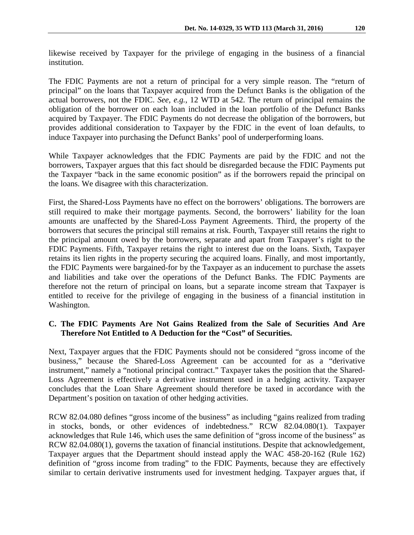likewise received by Taxpayer for the privilege of engaging in the business of a financial institution.

The FDIC Payments are not a return of principal for a very simple reason. The "return of principal" on the loans that Taxpayer acquired from the Defunct Banks is the obligation of the actual borrowers, not the FDIC. *See, e.g.*, 12 WTD at 542. The return of principal remains the obligation of the borrower on each loan included in the loan portfolio of the Defunct Banks acquired by Taxpayer. The FDIC Payments do not decrease the obligation of the borrowers, but provides additional consideration to Taxpayer by the FDIC in the event of loan defaults, to induce Taxpayer into purchasing the Defunct Banks' pool of underperforming loans.

While Taxpayer acknowledges that the FDIC Payments are paid by the FDIC and not the borrowers, Taxpayer argues that this fact should be disregarded because the FDIC Payments put the Taxpayer "back in the same economic position" as if the borrowers repaid the principal on the loans. We disagree with this characterization.

First, the Shared-Loss Payments have no effect on the borrowers' obligations. The borrowers are still required to make their mortgage payments. Second, the borrowers' liability for the loan amounts are unaffected by the Shared-Loss Payment Agreements. Third, the property of the borrowers that secures the principal still remains at risk. Fourth, Taxpayer still retains the right to the principal amount owed by the borrowers, separate and apart from Taxpayer's right to the FDIC Payments. Fifth, Taxpayer retains the right to interest due on the loans. Sixth, Taxpayer retains its lien rights in the property securing the acquired loans. Finally, and most importantly, the FDIC Payments were bargained-for by the Taxpayer as an inducement to purchase the assets and liabilities and take over the operations of the Defunct Banks. The FDIC Payments are therefore not the return of principal on loans, but a separate income stream that Taxpayer is entitled to receive for the privilege of engaging in the business of a financial institution in Washington.

## **C. The FDIC Payments Are Not Gains Realized from the Sale of Securities And Are Therefore Not Entitled to A Deduction for the "Cost" of Securities.**

Next, Taxpayer argues that the FDIC Payments should not be considered "gross income of the business," because the Shared-Loss Agreement can be accounted for as a "derivative instrument," namely a "notional principal contract." Taxpayer takes the position that the Shared-Loss Agreement is effectively a derivative instrument used in a hedging activity. Taxpayer concludes that the Loan Share Agreement should therefore be taxed in accordance with the Department's position on taxation of other hedging activities.

RCW 82.04.080 defines "gross income of the business" as including "gains realized from trading in stocks, bonds, or other evidences of indebtedness." RCW 82.04.080(1). Taxpayer acknowledges that Rule 146, which uses the same definition of "gross income of the business" as RCW 82.04.080(1), governs the taxation of financial institutions. Despite that acknowledgement, Taxpayer argues that the Department should instead apply the WAC 458-20-162 (Rule 162) definition of "gross income from trading" to the FDIC Payments, because they are effectively similar to certain derivative instruments used for investment hedging. Taxpayer argues that, if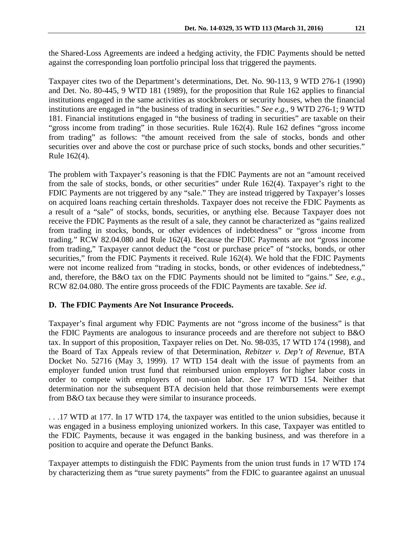the Shared-Loss Agreements are indeed a hedging activity, the FDIC Payments should be netted against the corresponding loan portfolio principal loss that triggered the payments.

Taxpayer cites two of the Department's determinations, Det. No. 90-113, 9 WTD 276-1 (1990) and Det. No. 80-445, 9 WTD 181 (1989), for the proposition that Rule 162 applies to financial institutions engaged in the same activities as stockbrokers or security houses, when the financial institutions are engaged in "the business of trading in securities." *See e.g.*, 9 WTD 276-1; 9 WTD 181. Financial institutions engaged in "the business of trading in securities" are taxable on their "gross income from trading" in those securities. Rule 162(4). Rule 162 defines "gross income from trading" as follows: "the amount received from the sale of stocks, bonds and other securities over and above the cost or purchase price of such stocks, bonds and other securities." Rule 162(4).

The problem with Taxpayer's reasoning is that the FDIC Payments are not an "amount received from the sale of stocks, bonds, or other securities" under Rule 162(4). Taxpayer's right to the FDIC Payments are not triggered by any "sale." They are instead triggered by Taxpayer's losses on acquired loans reaching certain thresholds. Taxpayer does not receive the FDIC Payments as a result of a "sale" of stocks, bonds, securities, or anything else. Because Taxpayer does not receive the FDIC Payments as the result of a sale, they cannot be characterized as "gains realized from trading in stocks, bonds, or other evidences of indebtedness" or "gross income from trading." RCW 82.04.080 and Rule 162(4). Because the FDIC Payments are not "gross income from trading," Taxpayer cannot deduct the "cost or purchase price" of "stocks, bonds, or other securities," from the FDIC Payments it received. Rule 162(4). We hold that the FDIC Payments were not income realized from "trading in stocks, bonds, or other evidences of indebtedness," and, therefore, the B&O tax on the FDIC Payments should not be limited to "gains." *See, e.g.*, RCW 82.04.080. The entire gross proceeds of the FDIC Payments are taxable. *See id*.

# **D. The FDIC Payments Are Not Insurance Proceeds.**

Taxpayer's final argument why FDIC Payments are not "gross income of the business" is that the FDIC Payments are analogous to insurance proceeds and are therefore not subject to B&O tax. In support of this proposition, Taxpayer relies on Det. No. 98-035, 17 WTD 174 (1998), and the Board of Tax Appeals review of that Determination, *Rebitzer v. Dep't of Revenue*, BTA Docket No. 52716 (May 3, 1999). 17 WTD 154 dealt with the issue of payments from an employer funded union trust fund that reimbursed union employers for higher labor costs in order to compete with employers of non-union labor. *See* 17 WTD 154. Neither that determination nor the subsequent BTA decision held that those reimbursements were exempt from B&O tax because they were similar to insurance proceeds.

. . .17 WTD at 177. In 17 WTD 174, the taxpayer was entitled to the union subsidies, because it was engaged in a business employing unionized workers. In this case, Taxpayer was entitled to the FDIC Payments, because it was engaged in the banking business, and was therefore in a position to acquire and operate the Defunct Banks.

Taxpayer attempts to distinguish the FDIC Payments from the union trust funds in 17 WTD 174 by characterizing them as "true surety payments" from the FDIC to guarantee against an unusual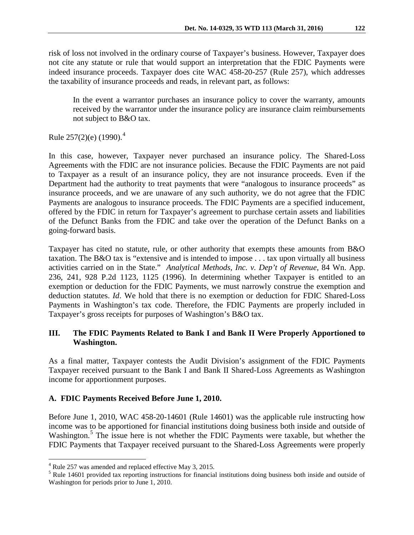risk of loss not involved in the ordinary course of Taxpayer's business. However, Taxpayer does not cite any statute or rule that would support an interpretation that the FDIC Payments were indeed insurance proceeds. Taxpayer does cite WAC 458-20-257 (Rule 257), which addresses the taxability of insurance proceeds and reads, in relevant part, as follows:

In the event a warrantor purchases an insurance policy to cover the warranty, amounts received by the warrantor under the insurance policy are insurance claim reimbursements not subject to B&O tax.

Rule 257(2)(e) (1990).<sup>[4](#page-9-0)</sup>

In this case, however, Taxpayer never purchased an insurance policy. The Shared-Loss Agreements with the FDIC are not insurance policies. Because the FDIC Payments are not paid to Taxpayer as a result of an insurance policy, they are not insurance proceeds. Even if the Department had the authority to treat payments that were "analogous to insurance proceeds" as insurance proceeds, and we are unaware of any such authority, we do not agree that the FDIC Payments are analogous to insurance proceeds. The FDIC Payments are a specified inducement, offered by the FDIC in return for Taxpayer's agreement to purchase certain assets and liabilities of the Defunct Banks from the FDIC and take over the operation of the Defunct Banks on a going-forward basis.

Taxpayer has cited no statute, rule, or other authority that exempts these amounts from B&O taxation. The B&O tax is "extensive and is intended to impose . . . tax upon virtually all business activities carried on in the State." *Analytical Methods, Inc. v. Dep't of Revenue*, 84 Wn. App. 236, 241, 928 P.2d 1123, 1125 (1996). In determining whether Taxpayer is entitled to an exemption or deduction for the FDIC Payments, we must narrowly construe the exemption and deduction statutes. *Id*. We hold that there is no exemption or deduction for FDIC Shared-Loss Payments in Washington's tax code. Therefore, the FDIC Payments are properly included in Taxpayer's gross receipts for purposes of Washington's B&O tax.

# **III. The FDIC Payments Related to Bank I and Bank II Were Properly Apportioned to Washington.**

As a final matter, Taxpayer contests the Audit Division's assignment of the FDIC Payments Taxpayer received pursuant to the Bank I and Bank II Shared-Loss Agreements as Washington income for apportionment purposes.

# **A. FDIC Payments Received Before June 1, 2010.**

Before June 1, 2010, WAC 458-20-14601 (Rule 14601) was the applicable rule instructing how income was to be apportioned for financial institutions doing business both inside and outside of Washington.<sup>[5](#page-9-1)</sup> The issue here is not whether the FDIC Payments were taxable, but whether the FDIC Payments that Taxpayer received pursuant to the Shared-Loss Agreements were properly

<span id="page-9-0"></span> <sup>4</sup> Rule 257 was amended and replaced effective May 3, 2015.

<span id="page-9-1"></span><sup>&</sup>lt;sup>5</sup> Rule 14601 provided tax reporting instructions for financial institutions doing business both inside and outside of Washington for periods prior to June 1, 2010.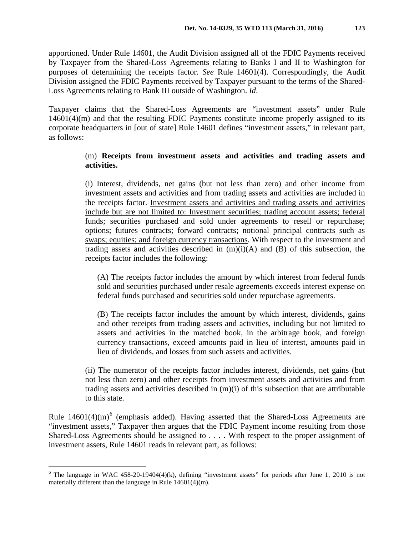apportioned. Under Rule 14601, the Audit Division assigned all of the FDIC Payments received by Taxpayer from the Shared-Loss Agreements relating to Banks I and II to Washington for purposes of determining the receipts factor. *See* Rule 14601(4). Correspondingly, the Audit Division assigned the FDIC Payments received by Taxpayer pursuant to the terms of the Shared-Loss Agreements relating to Bank III outside of Washington. *Id*.

Taxpayer claims that the Shared-Loss Agreements are "investment assets" under Rule 14601(4)(m) and that the resulting FDIC Payments constitute income properly assigned to its corporate headquarters in [out of state] Rule 14601 defines "investment assets," in relevant part, as follows:

## (m) **Receipts from investment assets and activities and trading assets and activities.**

(i) Interest, dividends, net gains (but not less than zero) and other income from investment assets and activities and from trading assets and activities are included in the receipts factor. Investment assets and activities and trading assets and activities include but are not limited to: Investment securities; trading account assets; federal funds; securities purchased and sold under agreements to resell or repurchase; options; futures contracts; forward contracts; notional principal contracts such as swaps; equities; and foreign currency transactions. With respect to the investment and trading assets and activities described in  $(m)(i)(A)$  and  $(B)$  of this subsection, the receipts factor includes the following:

(A) The receipts factor includes the amount by which interest from federal funds sold and securities purchased under resale agreements exceeds interest expense on federal funds purchased and securities sold under repurchase agreements.

(B) The receipts factor includes the amount by which interest, dividends, gains and other receipts from trading assets and activities, including but not limited to assets and activities in the matched book, in the arbitrage book, and foreign currency transactions, exceed amounts paid in lieu of interest, amounts paid in lieu of dividends, and losses from such assets and activities.

(ii) The numerator of the receipts factor includes interest, dividends, net gains (but not less than zero) and other receipts from investment assets and activities and from trading assets and activities described in  $(m)(i)$  of this subsection that are attributable to this state.

Rule  $14601(4)(m)^6$  $14601(4)(m)^6$  $14601(4)(m)^6$  (emphasis added). Having asserted that the Shared-Loss Agreements are "investment assets," Taxpayer then argues that the FDIC Payment income resulting from those Shared-Loss Agreements should be assigned to . . . . With respect to the proper assignment of investment assets, Rule 14601 reads in relevant part, as follows:

<span id="page-10-0"></span> $6$  The language in WAC 458-20-19404(4)(k), defining "investment assets" for periods after June 1, 2010 is not materially different than the language in Rule 14601(4)(m).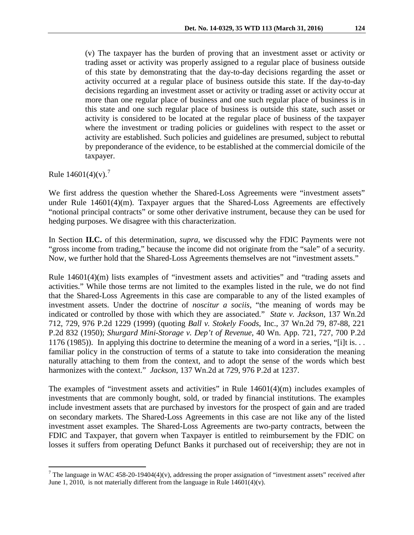(v) The taxpayer has the burden of proving that an investment asset or activity or trading asset or activity was properly assigned to a regular place of business outside of this state by demonstrating that the day-to-day decisions regarding the asset or activity occurred at a regular place of business outside this state. If the day-to-day decisions regarding an investment asset or activity or trading asset or activity occur at more than one regular place of business and one such regular place of business is in this state and one such regular place of business is outside this state, such asset or activity is considered to be located at the regular place of business of the taxpayer where the investment or trading policies or guidelines with respect to the asset or activity are established. Such policies and guidelines are presumed, subject to rebuttal by preponderance of the evidence, to be established at the commercial domicile of the taxpayer.

Rule  $14601(4)(v)$ .<sup>[7](#page-11-0)</sup>

We first address the question whether the Shared-Loss Agreements were "investment assets" under Rule 14601(4)(m). Taxpayer argues that the Shared-Loss Agreements are effectively "notional principal contracts" or some other derivative instrument, because they can be used for hedging purposes. We disagree with this characterization.

In Section **II.C.** of this determination, *supra*, we discussed why the FDIC Payments were not "gross income from trading," because the income did not originate from the "sale" of a security. Now, we further hold that the Shared-Loss Agreements themselves are not "investment assets."

Rule 14601(4)(m) lists examples of "investment assets and activities" and "trading assets and activities." While those terms are not limited to the examples listed in the rule, we do not find that the Shared-Loss Agreements in this case are comparable to any of the listed examples of investment assets. Under the doctrine of *noscitur a sociis*, "the meaning of words may be indicated or controlled by those with which they are associated." *State v. Jackson*, 137 Wn.2d 712, 729, 976 P.2d 1229 (1999) (quoting *Ball v. Stokely Foods*, Inc., 37 Wn.2d 79, 87-88, 221 P.2d 832 (1950); *Shurgard Mini-Storage v. Dep't of Revenue*, 40 Wn. App. 721, 727, 700 P.2d 1176 (1985)). In applying this doctrine to determine the meaning of a word in a series, "[i]t is. . . familiar policy in the construction of terms of a statute to take into consideration the meaning naturally attaching to them from the context, and to adopt the sense of the words which best harmonizes with the context." *Jackson*, 137 Wn.2d at 729, 976 P.2d at 1237.

The examples of "investment assets and activities" in Rule  $14601(4)(m)$  includes examples of investments that are commonly bought, sold, or traded by financial institutions. The examples include investment assets that are purchased by investors for the prospect of gain and are traded on secondary markets. The Shared-Loss Agreements in this case are not like any of the listed investment asset examples. The Shared-Loss Agreements are two-party contracts, between the FDIC and Taxpayer, that govern when Taxpayer is entitled to reimbursement by the FDIC on losses it suffers from operating Defunct Banks it purchased out of receivership; they are not in

<span id="page-11-0"></span> $7$  The language in WAC 458-20-19404(4)(v), addressing the proper assignation of "investment assets" received after June 1, 2010, is not materially different from the language in Rule  $14601(4)(v)$ .